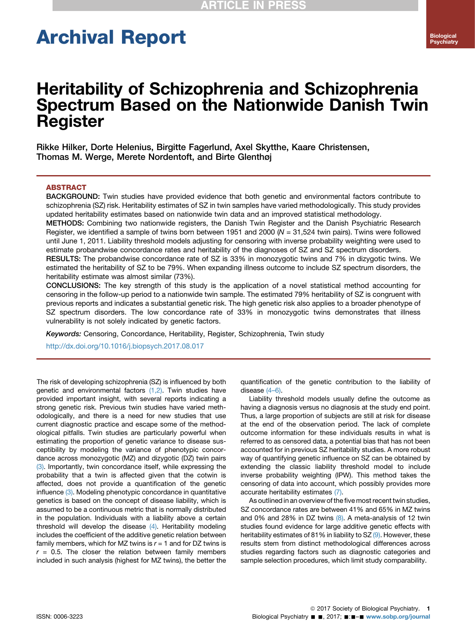# Archival Report

## Heritability of Schizophrenia and Schizophrenia Spectrum Based on the Nationwide Danish Twin Register

Rikke Hilker, Dorte Helenius, Birgitte Fagerlund, Axel Skytthe, Kaare Christensen, Thomas M. Werge, Merete Nordentoft, and Birte Glenthøj

#### ABSTRACT

BACKGROUND: Twin studies have provided evidence that both genetic and environmental factors contribute to schizophrenia (SZ) risk. Heritability estimates of SZ in twin samples have varied methodologically. This study provides updated heritability estimates based on nationwide twin data and an improved statistical methodology.

METHODS: Combining two nationwide registers, the Danish Twin Register and the Danish Psychiatric Research Register, we identified a sample of twins born between 1951 and 2000 ( $N = 31,524$  twin pairs). Twins were followed until June 1, 2011. Liability threshold models adjusting for censoring with inverse probability weighting were used to estimate probandwise concordance rates and heritability of the diagnoses of SZ and SZ spectrum disorders.

RESULTS: The probandwise concordance rate of SZ is 33% in monozygotic twins and 7% in dizygotic twins. We estimated the heritability of SZ to be 79%. When expanding illness outcome to include SZ spectrum disorders, the heritability estimate was almost similar (73%).

CONCLUSIONS: The key strength of this study is the application of a novel statistical method accounting for censoring in the follow-up period to a nationwide twin sample. The estimated 79% heritability of SZ is congruent with previous reports and indicates a substantial genetic risk. The high genetic risk also applies to a broader phenotype of SZ spectrum disorders. The low concordance rate of 33% in monozygotic twins demonstrates that illness vulnerability is not solely indicated by genetic factors.

Keywords: Censoring, Concordance, Heritability, Register, Schizophrenia, Twin study

<http://dx.doi.org/10.1016/j.biopsych.2017.08.017>

The risk of developing schizophrenia (SZ) is influenced by both genetic and environmental factors [\(1,2\).](#page-5-0) Twin studies have provided important insight, with several reports indicating a strong genetic risk. Previous twin studies have varied methodologically, and there is a need for new studies that use current diagnostic practice and escape some of the methodological pitfalls. Twin studies are particularly powerful when estimating the proportion of genetic variance to disease susceptibility by modeling the variance of phenotypic concordance across monozygotic (MZ) and dizygotic (DZ) twin pairs [\(3\).](#page-5-0) Importantly, twin concordance itself, while expressing the probability that a twin is affected given that the cotwin is affected, does not provide a quantification of the genetic influence [\(3\).](#page-5-0) Modeling phenotypic concordance in quantitative genetics is based on the concept of disease liability, which is assumed to be a continuous metric that is normally distributed in the population. Individuals with a liability above a certain threshold will develop the disease [\(4\)](#page-5-0). Heritability modeling includes the coefficient of the additive genetic relation between family members, which for MZ twins is  $r = 1$  and for DZ twins is  $r = 0.5$ . The closer the relation between family members included in such analysis (highest for MZ twins), the better the quantification of the genetic contribution to the liability of disease (4–[6\).](#page-5-0)

Liability threshold models usually define the outcome as having a diagnosis versus no diagnosis at the study end point. Thus, a large proportion of subjects are still at risk for disease at the end of the observation period. The lack of complete outcome information for these individuals results in what is referred to as censored data, a potential bias that has not been accounted for in previous SZ heritability studies. A more robust way of quantifying genetic influence on SZ can be obtained by extending the classic liability threshold model to include inverse probability weighting (IPW). This method takes the censoring of data into account, which possibly provides more accurate heritability estimates [\(7\).](#page-5-0)

As outlined in an overview of the five most recent twin studies, SZ concordance rates are between 41% and 65% in MZ twins and 0% and 28% in DZ twins  $(8)$ . A meta-analysis of 12 twin studies found evidence for large additive genetic effects with heritability estimates of 81% in liability to SZ [\(9\)](#page-6-0). However, these results stem from distinct methodological differences across studies regarding factors such as diagnostic categories and sample selection procedures, which limit study comparability.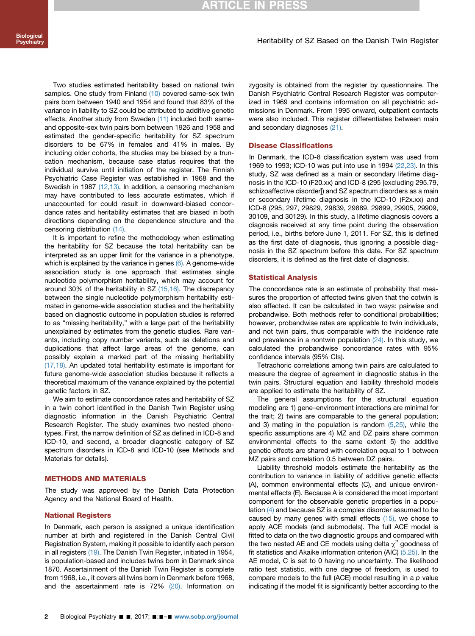#### Heritability of SZ Based on the Danish Twin Register

Two studies estimated heritability based on national twin samples. One study from Finland [\(10\)](#page-6-0) covered same-sex twin pairs born between 1940 and 1954 and found that 83% of the variance in liability to SZ could be attributed to additive genetic effects. Another study from Sweden [\(11\)](#page-6-0) included both sameand opposite-sex twin pairs born between 1926 and 1958 and estimated the gender-specific heritability for SZ spectrum disorders to be 67% in females and 41% in males. By including older cohorts, the studies may be biased by a truncation mechanism, because case status requires that the individual survive until initiation of the register. The Finnish Psychiatric Case Register was established in 1968 and the Swedish in 1987 [\(12,13\).](#page-6-0) In addition, a censoring mechanism may have contributed to less accurate estimates, which if unaccounted for could result in downward-biased concordance rates and heritability estimates that are biased in both directions depending on the dependence structure and the censoring distribution [\(14\).](#page-6-0)

It is important to refine the methodology when estimating the heritability for SZ because the total heritability can be interpreted as an upper limit for the variance in a phenotype, which is explained by the variance in genes  $(6)$ . A genome-wide association study is one approach that estimates single nucleotide polymorphism heritability, which may account for around 30% of the heritability in SZ  $(15,16)$ . The discrepancy between the single nucleotide polymorphism heritability estimated in genome-wide association studies and the heritability based on diagnostic outcome in population studies is referred to as "missing heritability," with a large part of the heritability unexplained by estimates from the genetic studies. Rare variants, including copy number variants, such as deletions and duplications that affect large areas of the genome, can possibly explain a marked part of the missing heritability [\(17,18\)](#page-6-0). An updated total heritability estimate is important for future genome-wide association studies because it reflects a theoretical maximum of the variance explained by the potential genetic factors in SZ.

We aim to estimate concordance rates and heritability of SZ in a twin cohort identified in the Danish Twin Register using diagnostic information in the Danish Psychiatric Central Research Register. The study examines two nested phenotypes. First, the narrow definition of SZ as defined in ICD-8 and ICD-10, and second, a broader diagnostic category of SZ spectrum disorders in ICD-8 and ICD-10 (see Methods and Materials for details).

#### METHODS AND MATERIALS

The study was approved by the Danish Data Protection Agency and the National Board of Health.

#### National Registers

In Denmark, each person is assigned a unique identification number at birth and registered in the Danish Central Civil Registration System, making it possible to identify each person in all registers [\(19\)](#page-6-0). The Danish Twin Register, initiated in 1954, is population-based and includes twins born in Denmark since 1870. Ascertainment of the Danish Twin Register is complete from 1968, i.e., it covers all twins born in Denmark before 1968, and the ascertainment rate is 72% [\(20\)](#page-6-0). Information on

zygosity is obtained from the register by questionnaire. The Danish Psychiatric Central Research Register was computerized in 1969 and contains information on all psychiatric admissions in Denmark. From 1995 onward, outpatient contacts were also included. This register differentiates between main and secondary diagnoses [\(21\)](#page-6-0).

#### Disease Classifications

In Denmark, the ICD-8 classification system was used from 1969 to 1993; ICD-10 was put into use in 1994 [\(22,23\)](#page-6-0). In this study, SZ was defined as a main or secondary lifetime diagnosis in the ICD-10 (F20.xx) and ICD-8 (295 [excluding 295.79, schizoaffective disorder]) and SZ spectrum disorders as a main or secondary lifetime diagnosis in the ICD-10 (F2x.xx) and ICD-8 (295, 297, 29829, 29839, 29889, 29899, 29905, 29909, 30109, and 30129). In this study, a lifetime diagnosis covers a diagnosis received at any time point during the observation period, i.e., births before June 1, 2011. For SZ, this is defined as the first date of diagnosis, thus ignoring a possible diagnosis in the SZ spectrum before this date. For SZ spectrum disorders, it is defined as the first date of diagnosis.

#### Statistical Analysis

The concordance rate is an estimate of probability that measures the proportion of affected twins given that the cotwin is also affected. It can be calculated in two ways: pairwise and probandwise. Both methods refer to conditional probabilities; however, probandwise rates are applicable to twin individuals, and not twin pairs, thus comparable with the incidence rate and prevalence in a nontwin population  $(24)$ . In this study, we calculated the probandwise concordance rates with 95% confidence intervals (95% CIs).

Tetrachoric correlations among twin pairs are calculated to measure the degree of agreement in diagnostic status in the twin pairs. Structural equation and liability threshold models are applied to estimate the heritability of SZ.

The general assumptions for the structural equation modeling are 1) gene–environment interactions are minimal for the trait; 2) twins are comparable to the general population; and 3) mating in the population is random [\(5,25\),](#page-5-0) while the specific assumptions are 4) MZ and DZ pairs share common environmental effects to the same extent 5) the additive genetic effects are shared with correlation equal to 1 between MZ pairs and correlation 0.5 between DZ pairs.

Liability threshold models estimate the heritability as the contribution to variance in liability of additive genetic effects (A), common environmental effects (C), and unique environmental effects (E). Because A is considered the most important component for the observable genetic properties in a population [\(4\)](#page-5-0) and because SZ is a complex disorder assumed to be caused by many genes with small effects  $(15)$ , we chose to apply ACE models (and submodels). The full ACE model is fitted to data on the two diagnostic groups and compared with the two nested AE and CE models using delta  $\chi^2$  goodness of fit statistics and Akaike information criterion (AIC) [\(5,25\)](#page-5-0). In the AE model, C is set to 0 having no uncertainty. The likelihood ratio test statistic, with one degree of freedom, is used to compare models to the full (ACE) model resulting in a  $p$  value indicating if the model fit is significantly better according to the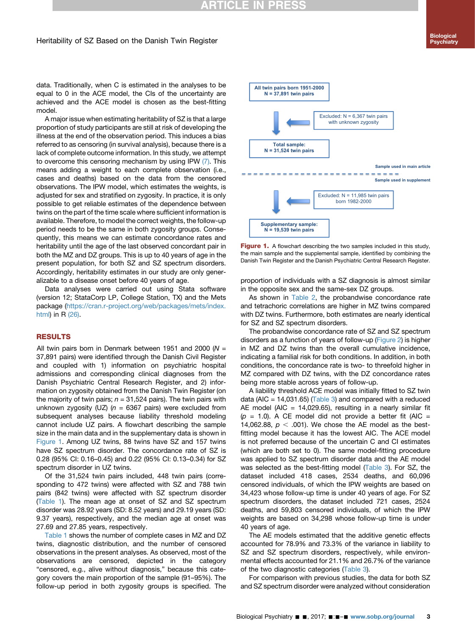## **RTICLE IN PRESS**

#### Heritability of SZ Based on the Danish Twin Register

data. Traditionally, when C is estimated in the analyses to be equal to 0 in the ACE model, the CIs of the uncertainty are achieved and the ACE model is chosen as the best-fitting model.

A major issue when estimating heritability of SZ is that a large proportion of study participants are still at risk of developing the illness at the end of the observation period. This induces a bias referred to as censoring (in survival analysis), because there is a lack of complete outcome information. In this study, we attempt to overcome this censoring mechanism by using IPW [\(7\).](#page-5-0) This means adding a weight to each complete observation (i.e., cases and deaths) based on the data from the censored observations. The IPW model, which estimates the weights, is adjusted for sex and stratified on zygosity. In practice, it is only possible to get reliable estimates of the dependence between twins on the part of the time scale where sufficient information is available. Therefore, to model the correct weights, the follow-up period needs to be the same in both zygosity groups. Consequently, this means we can estimate concordance rates and heritability until the age of the last observed concordant pair in both the MZ and DZ groups. This is up to 40 years of age in the present population, for both SZ and SZ spectrum disorders. Accordingly, heritability estimates in our study are only generalizable to a disease onset before 40 years of age.

Data analyses were carried out using Stata software (version 12; StataCorp LP, College Station, TX) and the Mets package ([https://cran.r-project.org/web/packages/mets/index.](https://cran.r-project.org/web/packages/mets/index.html) [html](https://cran.r-project.org/web/packages/mets/index.html)) in R [\(26\).](#page-6-0)

#### RESULTS

All twin pairs born in Denmark between 1951 and 2000 ( $N =$ 37,891 pairs) were identified through the Danish Civil Register and coupled with 1) information on psychiatric hospital admissions and corresponding clinical diagnoses from the Danish Psychiatric Central Research Register, and 2) information on zygosity obtained from the Danish Twin Register (on the majority of twin pairs;  $n = 31,524$  pairs). The twin pairs with unknown zygosity (UZ) ( $n = 6367$  pairs) were excluded from subsequent analyses because liability threshold modeling cannot include UZ pairs. A flowchart describing the sample size in the main data and in the supplementary data is shown in Figure 1. Among UZ twins, 88 twins have SZ and 157 twins have SZ spectrum disorder. The concordance rate of SZ is 0.28 (95% CI: 0.16–0.45) and 0.22 (95% CI: 0.13–0.34) for SZ spectrum disorder in UZ twins.

Of the 31,524 twin pairs included, 448 twin pairs (corresponding to 472 twins) were affected with SZ and 788 twin pairs (842 twins) were affected with SZ spectrum disorder ([Table 1\)](#page-3-0). The mean age at onset of SZ and SZ spectrum disorder was 28.92 years (SD: 8.52 years) and 29.19 years (SD: 9.37 years), respectively, and the median age at onset was 27.69 and 27.85 years, respectively.

[Table 1](#page-3-0) shows the number of complete cases in MZ and DZ twins, diagnostic distribution, and the number of censored observations in the present analyses. As observed, most of the observations are censored, depicted in the category "censored, e.g., alive without diagnosis," because this category covers the main proportion of the sample (91–95%). The follow-up period in both zygosity groups is specified. The



Figure 1. A flowchart describing the two samples included in this study, the main sample and the supplemental sample, identified by combining the Danish Twin Register and the Danish Psychiatric Central Research Register.

proportion of individuals with a SZ diagnosis is almost similar in the opposite sex and the same-sex DZ groups.

As shown in [Table 2](#page-3-0), the probandwise concordance rate and tetrachoric correlations are higher in MZ twins compared with DZ twins. Furthermore, both estimates are nearly identical for SZ and SZ spectrum disorders.

The probandwise concordance rate of SZ and SZ spectrum disorders as a function of years of follow-up ([Figure 2](#page-4-0)) is higher in MZ and DZ twins than the overall cumulative incidence, indicating a familial risk for both conditions. In addition, in both conditions, the concordance rate is two- to threefold higher in MZ compared with DZ twins, with the DZ concordance rates being more stable across years of follow-up.

A liability threshold ACE model was initially fitted to SZ twin data (AIC =  $14,031.65$ ) [\(Table 3\)](#page-4-0) and compared with a reduced AE model (AIC = 14,029.65), resulting in a nearly similar fit  $(p = 1.0)$ . A CE model did not provide a better fit (AIC = 14,062.88,  $p < .001$ ). We chose the AE model as the bestfitting model because it has the lowest AIC. The ACE model is not preferred because of the uncertain C and CI estimates (which are both set to 0). The same model-fitting procedure was applied to SZ spectrum disorder data and the AE model was selected as the best-fitting model ([Table 3](#page-4-0)). For SZ, the dataset included 418 cases, 2534 deaths, and 60,096 censored individuals, of which the IPW weights are based on 34,423 whose follow-up time is under 40 years of age. For SZ spectrum disorders, the dataset included 721 cases, 2524 deaths, and 59,803 censored individuals, of which the IPW weights are based on 34,298 whose follow-up time is under 40 years of age.

The AE models estimated that the additive genetic effects accounted for 78.9% and 73.3% of the variance in liability to SZ and SZ spectrum disorders, respectively, while environmental effects accounted for 21.1% and 26.7% of the variance of the two diagnostic categories ([Table 3\)](#page-4-0).

For comparison with previous studies, the data for both SZ and SZ spectrum disorder were analyzed without consideration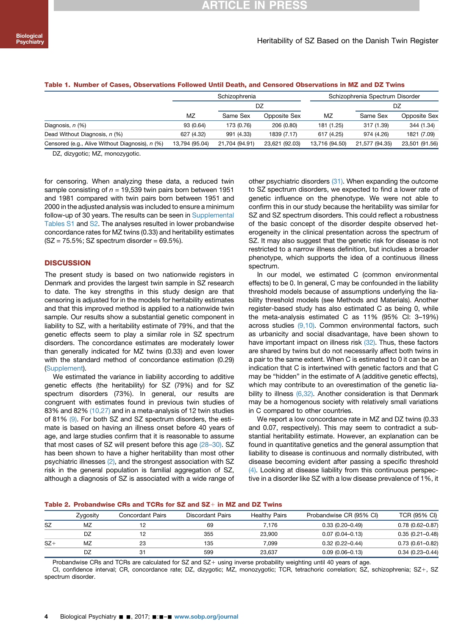|                                                 |                | Schizophrenia  |                | Schizophrenia Spectrum Disorder |                |                |  |
|-------------------------------------------------|----------------|----------------|----------------|---------------------------------|----------------|----------------|--|
|                                                 |                | DZ             |                |                                 | DZ             |                |  |
|                                                 | <b>MZ</b>      | Same Sex       | Opposite Sex   |                                 | Same Sex       | Opposite Sex   |  |
| Diagnosis, n (%)                                | 93 (0.64)      | 173 (0.76)     | 206 (0.80)     | 181 (1.25)                      | 317 (1.39)     | 344 (1.34)     |  |
| Dead Without Diagnosis, n (%)                   | 627 (4.32)     | 991 (4.33)     | 1839 (7.17)    | 617 (4.25)                      | 974 (4.26)     | 1821 (7.09)    |  |
| Censored (e.g., Alive Without Diagnosis), n (%) | 13.794 (95.04) | 21.704 (94.91) | 23.621 (92.03) | 13.716 (94.50)                  | 21.577 (94.35) | 23,501 (91.56) |  |

#### <span id="page-3-0"></span>Table 1. Number of Cases, Observations Followed Until Death, and Censored Observations in MZ and DZ Twins

DZ, dizygotic; MZ, monozygotic.

for censoring. When analyzing these data, a reduced twin sample consisting of  $n = 19,539$  twin pairs born between 1951 and 1981 compared with twin pairs born between 1951 and 2000 in the adjusted analysis was included to ensure a minimum follow-up of 30 years. The results can be seen in Supplemental Tables S1 and S2. The analyses resulted in lower probandwise concordance rates for MZ twins (0.33) and heritability estimates  $(SZ = 75.5\%; SZ spectrum disorder = 69.5\%).$ 

#### **DISCUSSION**

The present study is based on two nationwide registers in Denmark and provides the largest twin sample in SZ research to date. The key strengths in this study design are that censoring is adjusted for in the models for heritability estimates and that this improved method is applied to a nationwide twin sample. Our results show a substantial genetic component in liability to SZ, with a heritability estimate of 79%, and that the genetic effects seem to play a similar role in SZ spectrum disorders. The concordance estimates are moderately lower than generally indicated for MZ twins (0.33) and even lower with the standard method of concordance estimation (0.29) (Supplement).

We estimated the variance in liability according to additive genetic effects (the heritability) for SZ (79%) and for SZ spectrum disorders (73%). In general, our results are congruent with estimates found in previous twin studies of 83% and 82% [\(10,27\)](#page-6-0) and in a meta-analysis of 12 twin studies of 81% [\(9\).](#page-6-0) For both SZ and SZ spectrum disorders, the estimate is based on having an illness onset before 40 years of age, and large studies confirm that it is reasonable to assume that most cases of SZ will present before this age (28–[30\).](#page-6-0) SZ has been shown to have a higher heritability than most other psychiatric illnesses [\(2\)](#page-5-0), and the strongest association with SZ risk in the general population is familial aggregation of SZ, although a diagnosis of SZ is associated with a wide range of other psychiatric disorders [\(31\)](#page-6-0). When expanding the outcome to SZ spectrum disorders, we expected to find a lower rate of genetic influence on the phenotype. We were not able to confirm this in our study because the heritability was similar for SZ and SZ spectrum disorders. This could reflect a robustness of the basic concept of the disorder despite observed heterogeneity in the clinical presentation across the spectrum of SZ. It may also suggest that the genetic risk for disease is not restricted to a narrow illness definition, but includes a broader phenotype, which supports the idea of a continuous illness spectrum.

In our model, we estimated C (common environmental effects) to be 0. In general, C may be confounded in the liability threshold models because of assumptions underlying the liability threshold models (see Methods and Materials). Another register-based study has also estimated C as being 0, while the meta-analysis estimated C as 11% (95% CI: 3–19%) across studies [\(9,10\)](#page-6-0). Common environmental factors, such as urbanicity and social disadvantage, have been shown to have important impact on illness risk [\(32\)](#page-6-0). Thus, these factors are shared by twins but do not necessarily affect both twins in a pair to the same extent. When C is estimated to 0 it can be an indication that C is intertwined with genetic factors and that C may be "hidden" in the estimate of A (additive genetic effects), which may contribute to an overestimation of the genetic liability to illness [\(6,32\)](#page-5-0). Another consideration is that Denmark may be a homogenous society with relatively small variations in C compared to other countries.

We report a low concordance rate in MZ and DZ twins (0.33 and 0.07, respectively). This may seem to contradict a substantial heritability estimate. However, an explanation can be found in quantitative genetics and the general assumption that liability to disease is continuous and normally distributed, with disease becoming evident after passing a specific threshold [\(4\)](#page-5-0). Looking at disease liability from this continuous perspective in a disorder like SZ with a low disease prevalence of 1%, it

| Table 2. Probandwise CRs and TCRs for SZ and SZ $\pm$ in MZ and DZ Twins |  |
|--------------------------------------------------------------------------|--|
|--------------------------------------------------------------------------|--|

|       | Zygosity | Concordant Pairs | Discordant Pairs | <b>Healthy Pairs</b> | Probandwise CR (95% CI) | TCR (95% CI)        |
|-------|----------|------------------|------------------|----------------------|-------------------------|---------------------|
| SZ    | MZ       |                  | 69               | 7.176                | $0.33(0.20 - 0.49)$     | $0.78(0.62 - 0.87)$ |
|       | DZ       | 12               | 355              | 23.900               | $0.07(0.04 - 0.13)$     | $0.35(0.21 - 0.48)$ |
| $SZ+$ | MZ       | 23               | 135              | 7.099                | $0.32(0.22 - 0.44)$     | $0.73(0.61 - 0.82)$ |
|       | DZ       | 31               | 599              | 23.637               | $0.09(0.06 - 0.13)$     | $0.34(0.23 - 0.44)$ |

Probandwise CRs and TCRs are calculated for SZ and SZ+ using inverse probability weighting until 40 years of age.

CI, confidence interval; CR, concordance rate; DZ, dizygotic; MZ, monozygotic; TCR, tetrachoric correlation; SZ, schizophrenia; SZ+, SZ spectrum disorder.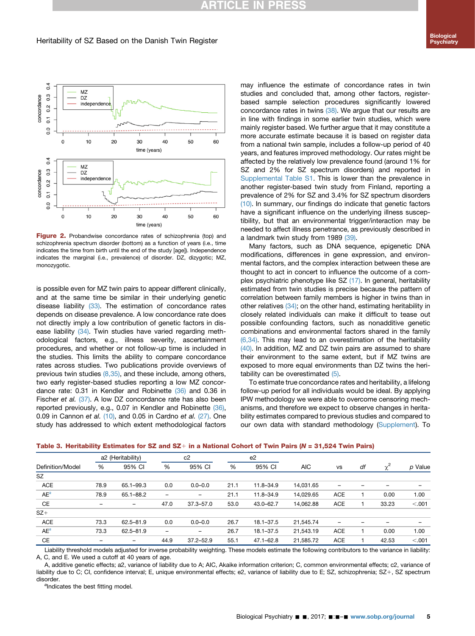### **RTICLE IN PR**

<span id="page-4-0"></span>

Figure 2. Probandwise concordance rates of schizophrenia (top) and schizophrenia spectrum disorder (bottom) as a function of years (i.e., time indicates the time from birth until the end of the study [age]). Independence indicates the marginal (i.e., prevalence) of disorder. DZ, dizygotic; MZ, monozygotic.

is possible even for MZ twin pairs to appear different clinically, and at the same time be similar in their underlying genetic disease liability [\(33\).](#page-6-0) The estimation of concordance rates depends on disease prevalence. A low concordance rate does not directly imply a low contribution of genetic factors in dis-ease liability [\(34\)](#page-6-0). Twin studies have varied regarding methodological factors, e.g., illness severity, ascertainment procedures, and whether or not follow-up time is included in the studies. This limits the ability to compare concordance rates across studies. Two publications provide overviews of previous twin studies  $(8,35)$ , and these include, among others, two early register-based studies reporting a low MZ concordance rate: 0.31 in Kendler and Robinette [\(36\)](#page-6-0) and 0.36 in Fischer et al. [\(37\).](#page-6-0) A low DZ concordance rate has also been reported previously, e.g., 0.07 in Kendler and Robinette [\(36\)](#page-6-0), 0.09 in Cannon et al.  $(10)$ , and 0.05 in Cardno et al.  $(27)$ . One study has addressed to which extent methodological factors may influence the estimate of concordance rates in twin studies and concluded that, among other factors, registerbased sample selection procedures significantly lowered concordance rates in twins [\(38\).](#page-6-0) We argue that our results are in line with findings in some earlier twin studies, which were mainly register based. We further argue that it may constitute a more accurate estimate because it is based on register data from a national twin sample, includes a follow-up period of 40 years, and features improved methodology. Our rates might be affected by the relatively low prevalence found (around 1% for SZ and 2% for SZ spectrum disorders) and reported in Supplemental Table S1. This is lower than the prevalence in another register-based twin study from Finland, reporting a prevalence of 2% for SZ and 3.4% for SZ spectrum disorders [\(10\).](#page-6-0) In summary, our findings do indicate that genetic factors have a significant influence on the underlying illness susceptibility, but that an environmental trigger/interaction may be needed to affect illness penetrance, as previously described in a landmark twin study from 1989 [\(39\)](#page-6-0).

Many factors, such as DNA sequence, epigenetic DNA modifications, differences in gene expression, and environmental factors, and the complex interaction between these are thought to act in concert to influence the outcome of a complex psychiatric phenotype like SZ [\(17\).](#page-6-0) In general, heritability estimated from twin studies is precise because the pattern of correlation between family members is higher in twins than in other relatives [\(34\)](#page-6-0); on the other hand, estimating heritability in closely related individuals can make it difficult to tease out possible confounding factors, such as nonadditive genetic combinations and environmental factors shared in the family [\(6,34\).](#page-5-0) This may lead to an overestimation of the heritability [\(40\).](#page-6-0) In addition, MZ and DZ twin pairs are assumed to share their environment to the same extent, but if MZ twins are exposed to more equal environments than DZ twins the heritability can be overestimated [\(5\)](#page-5-0).

To estimate true concordance rates and heritability, a lifelong follow-up period for all individuals would be ideal. By applying IPW methodology we were able to overcome censoring mechanisms, and therefore we expect to observe changes in heritability estimates compared to previous studies and compared to our own data with standard methodology (Supplement). To

| Definition/Model | a2 (Heritability) |                   |                 | c2            |      | e <sub>2</sub> |                         |            |    |          |         |
|------------------|-------------------|-------------------|-----------------|---------------|------|----------------|-------------------------|------------|----|----------|---------|
|                  | %                 | 95% CI            | %               | 95% CI        | %    | 95% CI         | <b>AIC</b><br><b>VS</b> |            | df | $\chi^2$ | p Value |
| SZ               |                   |                   |                 |               |      |                |                         |            |    |          |         |
| <b>ACE</b>       | 78.9              | 65.1-99.3         | 0.0             | $0.0 - 0.0$   | 21.1 | 11.8-34.9      | 14.031.65               | -          |    | -        |         |
| $AE^a$           | 78.9              | 65.1-88.2         | $\qquad \qquad$ | -             | 21.1 | 11.8-34.9      | 14,029.65               | <b>ACE</b> |    | 0.00     | 1.00    |
| CE               | -                 | $\qquad \qquad -$ | 47.0            | $37.3 - 57.0$ | 53.0 | 43.0-62.7      | 14.062.88               | <b>ACE</b> |    | 33.23    | < .001  |
| $SZ+$            |                   |                   |                 |               |      |                |                         |            |    |          |         |
| <b>ACE</b>       | 73.3              | 62.5-81.9         | 0.0             | $0.0 - 0.0$   | 26.7 | $18.1 - 37.5$  | 21.545.74               | -          |    | -        |         |
| $AE^a$           | 73.3              | 62.5-81.9         | $\qquad \qquad$ |               | 26.7 | 18.1-37.5      | 21,543.19               | <b>ACE</b> |    | 0.00     | 1.00    |
| <b>CE</b>        |                   | -                 | 44.9            | $37.2 - 52.9$ | 55.1 | $47.1 - 62.8$  | 21,585.72               | <b>ACE</b> |    | 42.53    | < 0.001 |

Table 3. Heritability Estimates for SZ and SZ $+$  in a National Cohort of Twin Pairs (N = 31,524 Twin Pairs)

Liability threshold models adjusted for inverse probability weighting. These models estimate the following contributors to the variance in liability: A, C, and E. We used a cutoff at 40 years of age.

A, additive genetic effects; a2, variance of liability due to A; AIC, Akaike information criterion; C, common environmental effects; c2, variance of liability due to C; CI, confidence interval; E, unique environmental effects; e2, variance of liability due to E; SZ, schizophrenia; SZ+, SZ spectrum disorder.

<sup>a</sup>Indicates the best fitting model.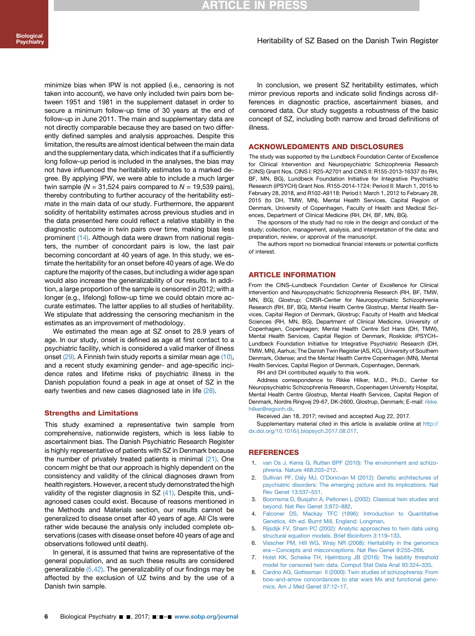<span id="page-5-0"></span>minimize bias when IPW is not applied (i.e., censoring is not taken into account), we have only included twin pairs born between 1951 and 1981 in the supplement dataset in order to secure a minimum follow-up time of 30 years at the end of follow-up in June 2011. The main and supplementary data are not directly comparable because they are based on two differently defined samples and analysis approaches. Despite this limitation, the results are almost identical between the main data and the supplementary data, which indicates that if a sufficiently long follow-up period is included in the analyses, the bias may not have influenced the heritability estimates to a marked degree. By applying IPW, we were able to include a much larger twin sample ( $N = 31,524$  pairs compared to  $N = 19,539$  pairs), thereby contributing to further accuracy of the heritability estimate in the main data of our study. Furthermore, the apparent solidity of heritability estimates across previous studies and in the data presented here could reflect a relative stability in the diagnostic outcome in twin pairs over time, making bias less prominent [\(14\).](#page-6-0) Although data were drawn from national registers, the number of concordant pairs is low, the last pair becoming concordant at 40 years of age. In this study, we estimate the heritability for an onset before 40 years of age. We do capture the majority of the cases, but including a wider age span would also increase the generalizability of our results. In addition, a large proportion of the sample is censored in 2012; with a longer (e.g., lifelong) follow-up time we could obtain more accurate estimates. The latter applies to all studies of heritability. We stipulate that addressing the censoring mechanism in the estimates as an improvement of methodology.

We estimated the mean age at SZ onset to 28.9 years of age. In our study, onset is defined as age at first contact to a psychiatric facility, which is considered a valid marker of illness onset [\(29\)](#page-6-0). A Finnish twin study reports a similar mean age [\(10\)](#page-6-0), and a recent study examining gender- and age-specific incidence rates and lifetime risks of psychiatric illness in the Danish population found a peak in age at onset of SZ in the early twenties and new cases diagnosed late in life [\(28\)](#page-6-0).

#### Strengths and Limitations

This study examined a representative twin sample from comprehensive, nationwide registers, which is less liable to ascertainment bias. The Danish Psychiatric Research Register is highly representative of patients with SZ in Denmark because the number of privately treated patients is minimal  $(21)$ . One concern might be that our approach is highly dependent on the consistency and validity of the clinical diagnoses drawn from health registers. However, a recent study demonstrated the high validity of the register diagnosis in SZ [\(41\)](#page-6-0). Despite this, undiagnosed cases could exist. Because of reasons mentioned in the Methods and Materials section, our results cannot be generalized to disease onset after 40 years of age. All CIs were rather wide because the analysis only included complete observations (cases with disease onset before 40 years of age and observations followed until death).

In general, it is assumed that twins are representative of the general population, and as such these results are considered generalizable (5,42). The generalizability of our findings may be affected by the exclusion of UZ twins and by the use of a Danish twin sample.

In conclusion, we present SZ heritability estimates, which mirror previous reports and indicate solid findings across differences in diagnostic practice, ascertainment biases, and censored data. Our study suggests a robustness of the basic concept of SZ, including both narrow and broad definitions of illness.

#### ACKNOWLEDGMENTS AND DISCLOSURES

The study was supported by the Lundbeck Foundation Center of Excellence for Clinical Intervention and Neuropsychiatric Schizophrenia Research (CINS) Grant Nos. CINS I: R25-A2701 and CINS II: R155-2013-16337 (to RH, BF, MN, BG), Lundbeck Foundation Initiative for Integrative Psychiatric Research (iPSYCH) Grant Nos. R155-2014-1724: Period II: March 1, 2015 to February 28, 2018, and R102-A9118: Period I: March 1, 2012 to February 28, 2015 (to DH, TMW, MN), Mental Health Services, Capital Region of Denmark, University of Copenhagen, Faculty of Health and Medical Sciences, Department of Clinical Medicine (RH, DH, BF, MN, BG).

The sponsors of the study had no role in the design and conduct of the study; collection, management, analysis, and interpretation of the data; and preparation, review, or approval of the manuscript.

The authors report no biomedical financial interests or potential conflicts of interest.

#### ARTICLE INFORMATION

From the CINS–Lundbeck Foundation Center of Excellence for Clinical Intervention and Neuropsychiatric Schizophrenia Research (RH, BF, TMW, MN, BG), Glostrup; CNSR–Center for Neuropsychiatric Schizophrenia Research (RH, BF, BG), Mental Health Centre Glostrup, Mental Health Services, Capital Region of Denmark, Glostrup; Faculty of Health and Medical Sciences (RH, MN, BG), Department of Clinical Medicine, University of Copenhagen, Copenhagen; Mental Health Centre Sct Hans (DH, TMW), Mental Health Services, Capital Region of Denmark, Roskilde; iPSYCH– Lundbeck Foundation Initiative for Integrative Psychiatric Research (DH, TMW, MN), Aarhus; The Danish Twin Register (AS, KC), University of Southern Denmark, Odense; and the Mental Health Centre Copenhagen (MN), Mental Health Services, Capital Region of Denmark, Copenhagen, Denmark.

RH and DH contributed equally to this work.

Address correspondence to Rikke Hilker, M.D., Ph.D., Center for Neuropsychiatric Schizophrenia Research, Copenhagen University Hospital, Mental Health Centre Glostrup, Mental Health Services, Capital Region of Denmark, Nordre Ringvej 29-67, DK-2600, Glostrup, Denmark; E-mail: [rikke.](mailto:rikke.hilker@regionh.dk) [hilker@regionh.dk](mailto:rikke.hilker@regionh.dk).

Received Jan 18, 2017; revised and accepted Aug 22, 2017.

Supplementary material cited in this article is available online at [http://](http://dx.doi.org/10.1016/j.biopsych.2017.08.017) [dx.doi.org/10.1016/j.biopsych.2017.08.017](http://dx.doi.org/10.1016/j.biopsych.2017.08.017).

#### **REFERENCES**

- 1. [van Os J, Kenis G, Rutten BPF \(2010\): The environment and schizo](http://refhub.elsevier.com/S0006-3223(17)31905-4/sref1)[phrenia. Nature 468:203](http://refhub.elsevier.com/S0006-3223(17)31905-4/sref1)–212.
- 2. Sullivan PF, Daly MJ, O'[Donovan M \(2012\): Genetic architectures of](http://refhub.elsevier.com/S0006-3223(17)31905-4/sref2) [psychiatric disorders: The emerging picture and its implications. Nat](http://refhub.elsevier.com/S0006-3223(17)31905-4/sref2) [Rev Genet 13:537](http://refhub.elsevier.com/S0006-3223(17)31905-4/sref2)–551.
- 3. [Boomsma D, Busjahn A, Peltonen L \(2002\): Classical twin studies and](http://refhub.elsevier.com/S0006-3223(17)31905-4/sref3) [beyond. Nat Rev Genet 3:872](http://refhub.elsevier.com/S0006-3223(17)31905-4/sref3)–882.
- 4. [Falconer DS, Mackay TFC \(1996\): Introduction to Quantitative](http://refhub.elsevier.com/S0006-3223(17)31905-4/sref4) [Genetics, 4th ed. Burnt Mill, England: Longman](http://refhub.elsevier.com/S0006-3223(17)31905-4/sref4).
- 5. [Rijsdijk FV, Sham PC \(2002\): Analytic approaches to twin data using](http://refhub.elsevier.com/S0006-3223(17)31905-4/sref5) [structural equation models. Brief Bioinform 3:119](http://refhub.elsevier.com/S0006-3223(17)31905-4/sref5)–133.
- 6. [Visscher PM, Hill WG, Wray NR \(2008\): Heritability in the genomics](http://refhub.elsevier.com/S0006-3223(17)31905-4/sref6) era—[Concepts and misconceptions. Nat Rev Genet 9:255](http://refhub.elsevier.com/S0006-3223(17)31905-4/sref6)–266.
- 7. [Holst KK, Scheike TH, Hjelmborg JB \(2016\): The liability threshold](http://refhub.elsevier.com/S0006-3223(17)31905-4/sref7) [model for censored twin data. Comput Stat Data Anal 93:324](http://refhub.elsevier.com/S0006-3223(17)31905-4/sref7)–335.
- [Cardno AG, Gottesman II \(2000\): Twin studies of schizophrenia: From](http://refhub.elsevier.com/S0006-3223(17)31905-4/sref8) [bow-and-arrow concordances to star wars Mx and functional geno](http://refhub.elsevier.com/S0006-3223(17)31905-4/sref8)[mics. Am J Med Genet 97:12](http://refhub.elsevier.com/S0006-3223(17)31905-4/sref8)–17.